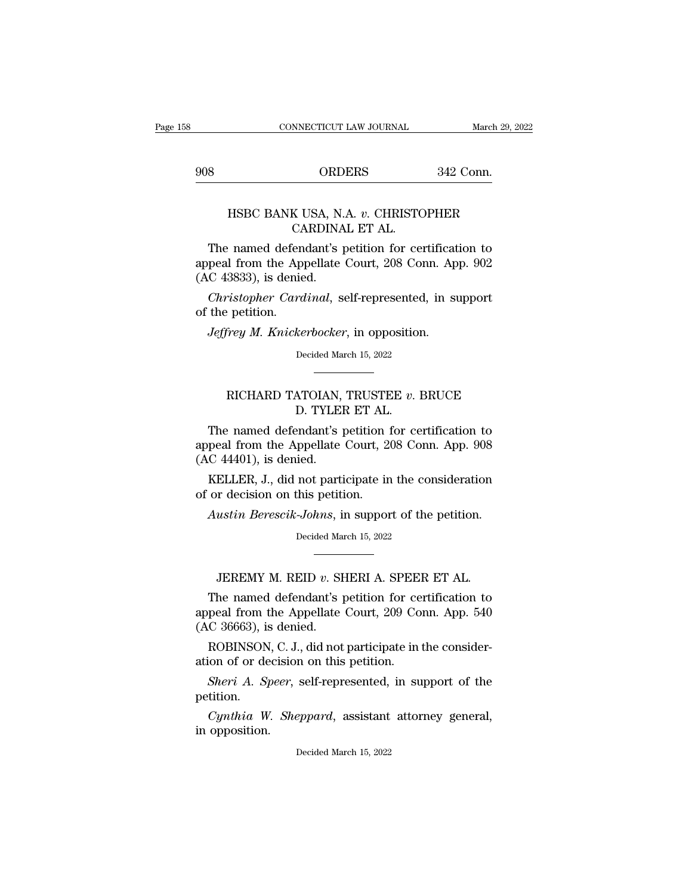CONNECTICUT LAW JOURNAL March 29, 20<br>908 ORDERS 342 Conn.

### March 29, 2022<br>
ORDERS 342 Conn.<br>
HSBC BANK USA, N.A. *v*. CHRISTOPHER<br>
CARDINAL ET AL. ORDERS<br>K USA, N.A. v. CHRISTC<br>CARDINAL ET AL.<br>'endant's petition for ce!

S<br>
THE NEW ORDERS<br>
THE NEW ORDERS<br>
The named defendant's petition for certification to<br>
peal from the Appellate Court, 208 Conn. App. 902<br>
C 43833) is denied 908 ORDERS 342 Conn.<br>
HSBC BANK USA, N.A. v. CHRISTOPHER<br>
CARDINAL ET AL.<br>
The named defendant's petition for certification to<br>
appeal from the Appellate Court, 208 Conn. App. 902<br>
(AC 43833), is denied. HSBC BANK USA, N.<br>CARDINA<br>The named defendant's p<br>appeal from the Appellate<br>(AC 43833), is denied.<br>*Christopher Cardinal*, s HSBC BANK USA, N.A. *v*. CHRISTOPHER<br>CARDINAL ET AL.<br>The named defendant's petition for certification to<br>peal from the Appellate Court, 208 Conn. App. 902<br>C 43833), is denied.<br>*Christopher Cardinal*, self-represented, in s CA<br>The named defen<br>appeal from the Ap<sub>.</sub><br>(AC 43833), is denie<br>*Christopher Cara*<br>of the petition.<br>*Jeffrey M. Knicke* The named defendant's petition for certificat<br>peal from the Appellate Court, 208 Conn. Ap<br>*C* 43833), is denied.<br>*Christopher Cardinal*, self-represented, in st<br>the petition.<br>*Jeffrey M. Knickerbocker*, in opposition.<br>Deci

Christopher Cardinal, self-represented, in support<br>
i the petition.<br>
Jeffrey M. Knickerbocker, in opposition.<br>
Decided March 15, 2022

### RICHARD TATOIAN, TRUSTEE *v*. BRUCE<br>Decided March 15, 2022<br>RICHARD TATOIAN, TRUSTEE *v*. BRUCE<br>D. TYLER ET AL. *kerbocker*, in opposition<br>Decided March 15, 2022<br>**ATOIAN, TRUSTEE** v. D. TYLER ET AL.<br>Prodant's petition for ce

Decided March 15, 2022<br>
Decided March 15, 2022<br>
The named defendant's petition for certification to<br>
peal from the Appellate Court, 208 Conn. App. 908<br>
C 44401) is donied appeal from the Appellate Court, 208 Conn. App. 908 RICHARD TATOIAN,<br>D. TYLEI<br>The named defendant's p<br>appeal from the Appellate<br>(AC 44401), is denied.<br>KELLER, J., did not parti RICHARD TATOIAN, TRUSTEE  $v$ . BRUCE<br>D. TYLER ET AL.<br>The named defendant's petition for certification to<br>peal from the Appellate Court, 208 Conn. App. 908<br>C 44401), is denied.<br>KELLER, J., did not participate in the conside D. TYLER ET AL.<br>The named defendant's petition is<br>appeal from the Appellate Court, 2<br>(AC 44401), is denied.<br>KELLER, J., did not participate in<br>of or decision on this petition.<br>Austin Berescik-Johns, in suppor The named defendant's petition for certification to<br>peal from the Appellate Court, 208 Conn. App. 908<br>*C* 44401), is denied.<br>KELLER, J., did not participate in the consideration<br>or decision on this petition.<br>Austin Beresci

KELLER, J., did not participate in the consideration<br>of or decision on this petition.<br>Austin Berescik-Johns, in support of the petition.<br>Decided March 15, 2022 Fraction on this petition.<br> *ustin Berescik-Johns*, in support of the petition.<br>
Decided March 15, 2022<br> **JEREMY M. REID** *v***. SHERI A. SPEER ET AL.**<br>
the named defendant's petition for certification to

Austin Berescik-Johns, in support of the petition.<br>Decided March 15, 2022<br>
TEREMY M. REID v. SHERI A. SPEER ET AL.<br>
The named defendant's petition for certification to<br>
peal from the Appellate Court, 209 Conn. App. 540<br>
C. Decided March 15, 2022<br>
LEREMY M. REID v. SHERI A. SPEER ET AL.<br>
The named defendant's petition for certification to<br>
appeal from the Appellate Court, 209 Conn. App. 540<br>
(AC 36663), is denied.  $\footnotesize\begin{array}{c} \text{Decided Ma}\ \text{Max} \ \end{array}$  JEREMY M. REID  $v.$  SI<br>The named defendant's pappeal from the Appellate<br>(AC 36663), is denied.<br>ROBINSON, C. J., did not JEREMY M. REID  $v$ . SHERI A. SPEER ET AL.<br>The named defendant's petition for certification to<br>peal from the Appellate Court, 209 Conn. App. 540<br>C 36663), is denied.<br>ROBINSON, C. J., did not participate in the consider-<br>io JEREMY M. REID  $v$ . SHERI A. SPEEI<br>The named defendant's petition for ce<br>appeal from the Appellate Court, 209 Co<br>(AC 36663), is denied.<br>ROBINSON, C. J., did not participate in<br>ation of or decision on this petition.<br>Sheri The named defendant's petition for certification to<br>peal from the Appellate Court, 209 Conn. App. 540<br>*C* 36663), is denied.<br>ROBINSON, C. J., did not participate in the consider-<br>ion of or decision on this petition.<br>*Sheri* 

ROBINSON, C. J.<br>ation of or decision<br>*Sheri A. Speer*,<br>petition.<br>*Cynthia W. She*<br>in opposition.

petition. *C* 36663), is denied.<br> *ROBINSON*, *C. J.*, did not participate in the consider-<br> *Sheri A. Speer*, self-represented, in support of the<br> *Cynthia W. Sheppard*, assistant attorney general,<br>
opposition. Sheri A. Speer, self-represented, in support of the estition.<br>Cynthia W. Sheppard, assistant attorney general, opposition.<br>Decided March 15, 2022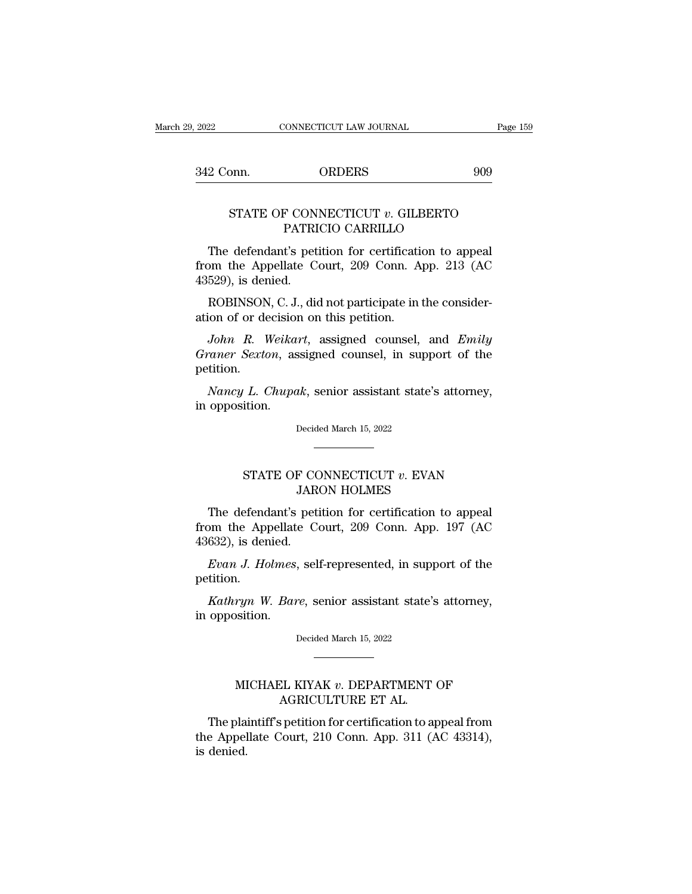342 Conn. ORDERS <sup>909</sup>

### MONTRE CONNECTICUT LAW JOURNAL Page 159<br>
STATE OF CONNECTICUT *v*. GILBERTO<br>
PATRICIO CARRILLO ORDERS 90<br>P CONNECTICUT v. GILBERTO<br>PATRICIO CARRILLO<br>t's petition for certification to appea

2 Conn. ORDERS 909<br>
STATE OF CONNECTICUT *v*. GILBERTO<br>
PATRICIO CARRILLO<br>
The defendant's petition for certification to appeal<br>
pm the Appellate Court, 209 Conn. App. 213 (AC<br>
520) is donied STATE OF CONNECTICUT v. GILBERTO<br>
PATRICIO CARRILLO<br>
The defendant's petition for certification to appeal<br>
from the Appellate Court, 209 Conn. App. 213 (AC<br>
43529), is denied. STATE OF CON<br>PATRI<br>The defendant's pet<br>from the Appellate C<br>43529), is denied.<br>ROBINSON, C. J., did STATE OF CONNECTICUT  $v$ . GILBERTO<br>PATRICIO CARRILLO<br>The defendant's petition for certification to appeal<br>om the Appellate Court, 209 Conn. App. 213 (AC<br>529), is denied.<br>ROBINSON, C. J., did not participate in the conside PATRICIO CARRILLO<br>The defendant's petition for certification<br>from the Appellate Court, 209 Conn. A<br>43529), is denied.<br>ROBINSON, C. J., did not participate in<br>ation of or decision on this petition.<br>John R. Weikart, assigned The defendant's petition for certification to appeal<br> *John R. Weikart*, and *And ROBINSON*, C. J., did not participate in the consider-<br> *John R. Weikart*, assigned counsel, and *Emily*<br> *John R. Weikart*, assigned coun

from the Appellate Court, 209 Conn. App. 213 (AC<br>43529), is denied.<br>ROBINSON, C. J., did not participate in the consider-<br>ation of or decision on this petition.<br>*John R. Weikart*, assigned counsel, and *Emily*<br>*Graner Sext* petition. *ROBINSON, C. J., did not participate in the considerion of or decision on this petition.*<br> *John R. Weikart*, assigned counsel, and *Emily*<br> *aner Sexton*, assigned counsel, in support of the<br> *Nancy L. Chupak*, senior as ation of or decision<br>
John R. Weika<br>
Graner Sexton, as<br>
petition.<br>
Nancy L. Chupa<br>
in opposition.

Nancy L. Chupak, senior assistant state's attorney,<br>opposition.<br>Decided March 15, 2022 L. Chupak, senior assistant state's attorney,<br>ition.<br>Decided March 15, 2022<br>STATE OF CONNECTICUT *v*. EVAN<br>JARON HOLMES

# JARON HOLMES

Decided March 15, 2022<br>
The defendant's petition for certification to appeal<br>
The defendant's petition for certification to appeal<br>
to appellate Court, 209 Conn. App. 197 (AC STATE OF CONNECTICUT  $v$ . EVAN<br>JARON HOLMES<br>The defendant's petition for certification to appeal<br>from the Appellate Court, 209 Conn. App. 197 (AC<br>43632), is denied. -<br>
STATE OF CC<br>
JAR<br>
The defendant's pet<br>
from the Appellate C<br>
43632), is denied.<br> *Evan J. Holmes*, sel FIATE OF CONNECTICUT *v*. EVAN<br>JARON HOLMES<br>The defendant's petition for certification to appeal<br>pm the Appellate Court, 209 Conn. App. 197 (AC<br>632), is denied.<br>*Evan J. Holmes*, self-represented, in support of the<br>tition. The defendant's petition for certification to appeal<br> *Kathryn J. Holmes*, self-represented, in support of the<br> *Kathryn W. Bare*, senior assistant state's attorney,<br>
opposition. from the Appellate<br>43632), is denied.<br>*Evan J. Holmes*,<br>petition.<br>*Kathryn W. Bar*<br>in opposition.

petition.

*Kathryn W. Bare*, senior assistant state's attorney, opposition.<br>Decided March 15, 2022 %ryn W. Bare, senior assistant state's attorney, position.<br>
Decided March 15, 2022<br>
MICHAEL KIYAK *v*. DEPARTMENT OF AGRICULTURE ET AL.

# AGRICULTURE ET AL.

The plaintiff's petition for certification to appeal from  $\begin{minipage}[t]{.4cm} \begin{tabular}{l} \multicolumn{2}{c}{\textbf{MICHAEL KIYAK $v$. DEPARTMENT OF }}\\ \multicolumn{2}{c}{\textbf{AGRICULTURE ET AL}}. \end{tabular} \end{minipage}$  <br> The plaintiff's petition for certification to appeal from the Appellate Court, 210 Conn. App. 311 (AC 43314), is denied. MI<br>The pla<br>the Appel<br>is denied.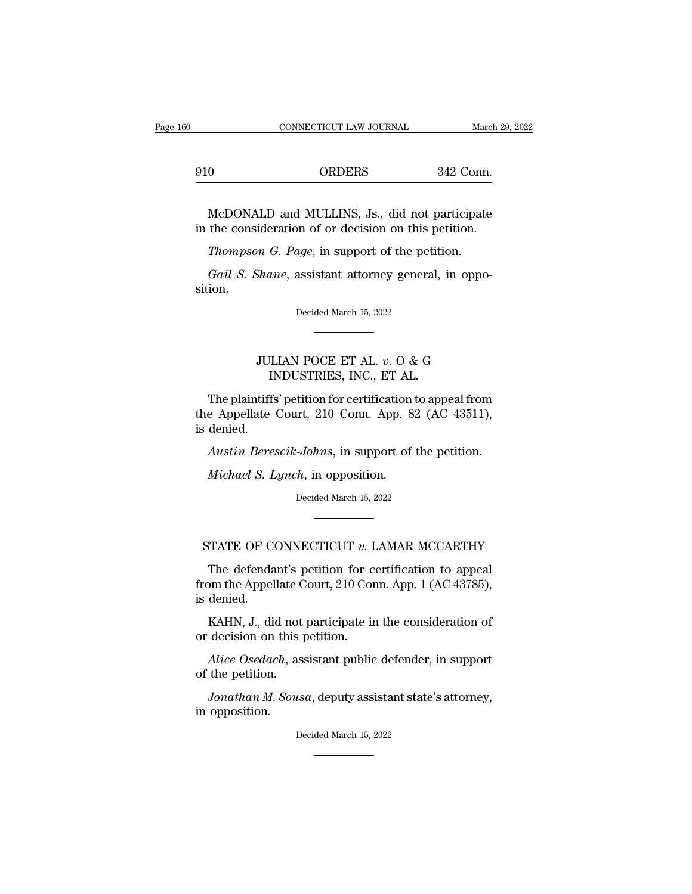|     | CONNECTICUT LAW JOURNAL | March 29, 2 |
|-----|-------------------------|-------------|
| 910 | <b>ORDERS</b>           | 342 Conn.   |

CONNECTICUT LAW JOURNAL March 29, 2022<br>
0 ORDERS 342 Conn.<br>
McDONALD and MULLINS, Js., did not participate<br>
the consideration of or decision on this petition. 910 ORDERS 342 Conn.<br>
McDONALD and MULLINS, Js., did not participate<br>
in the consideration of or decision on this petition.<br>
Thompson G. Page, in support of the petition. <sup>0</sup> ORDERS 342 Conn<br> *McDONALD* and MULLINS, Js., did not participate<br>
the consideration of or decision on this petition.<br> *Thompson G. Page*, in support of the petition.<br> *Gail S. Shane*, assistant attorney general, in op *McDONALD* and *MULLINS*, Js., did not participate the consideration of or decision on this petition.<br>*Thompson G. Page*, in support of the petition.<br>*Gail S. Shane*, assistant attorney general, in oppo-<br>ion.

sition. Thompson G. Page, in support of the petition.<br>Gail S. Shane, assistant attorney general, in oppo-<br>ion.<br>Decided March 15, 2022 JULIAN POCE ET AL. *<sup>v</sup>*. O & G

# INDUSTRIES, INC., ET AL.

Decided March 15, 2022<br>
THE PRICE ET AL. v. O & G<br>
INDUSTRIES, INC., ET AL.<br>
The plaintiffs' petition for certification to appeal from<br>
e Appellate Court, 210 Conn. App. 82 (AC 43511),<br>
dopied TULIAN POCE ET AL.  $v$ . O & G<br>INDUSTRIES, INC., ET AL.<br>The plaintiffs' petition for certification to appeal from<br>the Appellate Court, 210 Conn. App. 82 (AC 43511),<br>is denied. JUI<br>II<br>The plaintiffs<br>the Appellate<br>is denied.<br>Austin Bere. *Austin Berescik-Johns*, in support of the petition.<br>*Austin Berescik-Johns*, in support of the petition.<br>*Austin Berescik-Johns*, in support of the petition.<br>*Michael S. Lynch*, in opposition. *Michael Statistics, 210, 222*<br>*Michael S. Lynch*, in support of *Michael S. Lynch*, in opposition.<br>*Discription.* Decided March 15, 2022

Austin Berescik-Johns, in support of the petition.<br>Michael S. Lynch, in opposition.<br>Decided March 15, 2022

Michael *S. Lynch*, in support of the petition.<br>
Decided March 15, 2022<br>
STATE OF CONNECTICUT *v*. LAMAR MCCARTHY<br>
The defendant's petition for certification to appeal

 $Deded March 15, 2022$ <br>  $TATE OF CONNECTICUT v. LAMAR MCCARTHY$ <br>
The defendant's petition for certification to appeal<br>
om the Appellate Court, 210 Conn. App. 1 (AC 43785),<br>
depied from the Appellate Court, 210 Conn. App. 1 (AC 43785), is denied. FIATE OF CONNECTICUT  $v$ . LAMAR MCCARTHY<br>The defendant's petition for certification to appeal<br>om the Appellate Court, 210 Conn. App. 1 (AC 43785),<br>denied.<br>KAHN, J., did not participate in the consideration of<br>decision on STATE OF CONNECTICUT  $v$ . I<br>The defendant's petition for c<br>from the Appellate Court, 210 Cor<br>is denied.<br>KAHN, J., did not participate ir<br>or decision on this petition.<br>Alice Osedach, assistant public The defendant's petition for certification to appeal<br> *Alice Osedach*, and not participate in the consideration of<br> *Alice Osedach*, assistant public defender, in support<br>
the petition.

from the Appellate C<br>is denied.<br>KAHN, J., did not<br>or decision on this j<br>*Alice Osedach*, as<br>of the petition.<br>Jonathan M. Sous *KAHN, J., did not participate in the consideration of decision on this petition.*<br>*Alice Osedach, assistant public defender, in support the petition.*<br>*Jonathan M. Sousa, deputy assistant state's attorney, opposition.* 

KAHN, J., did no<br>or decision on this<br>*Alice Osedach*, a<br>of the petition.<br>*Jonathan M. Sou*<br>in opposition. Jonathan M. Sousa, deputy assistant state's attorney,<br>opposition.<br>Decided March 15, 2022